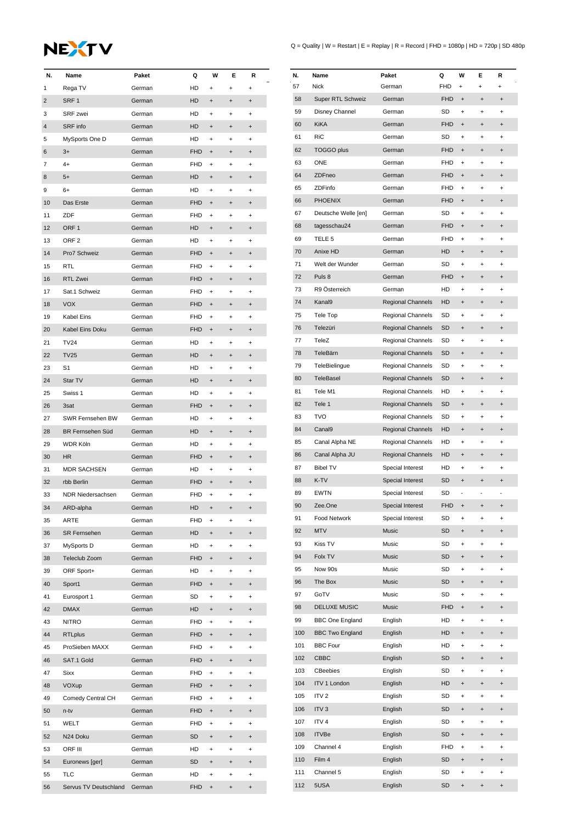## NEXTV

| N.             | Name                     | Paket  | Q          | W                                | Е                                | R                                |
|----------------|--------------------------|--------|------------|----------------------------------|----------------------------------|----------------------------------|
| 1              | Rega TV                  | German | HD         | $\ddot{}$                        | $\ddot{}$                        | $\ddot{}$                        |
| $\overline{2}$ | SRF1                     | German | <b>HD</b>  | $\ddot{}$                        | $\ddot{}$                        | $\ddot{}$                        |
| 3              | <b>SRF</b> zwei          | German | HD         | $\ddot{}$                        | $\ddot{}$                        | +                                |
| 4              | SRF info                 | German | HD         | $\ddot{}$                        | $\ddot{}$                        | $\pmb{+}$                        |
| 5              | MySports One D           | German | HD         | $\ddot{}$                        | $\ddot{}$                        | $\ddot{}$                        |
| 6              | $3+$                     | German | <b>FHD</b> | $\ddot{}$                        | $\ddot{}$                        | $\pmb{+}$                        |
| 7              | $4+$                     | German | FHD        | $\ddot{}$                        | $\ddot{}$                        | $\pmb{+}$                        |
| 8              | $5+$                     | German | HD         | $\ddot{}$                        | $\ddot{}$                        | $\ddot{}$                        |
| 9              | 6+                       | German | HD         | $\ddot{}$                        | +                                | +                                |
| 10             | Das Erste                | German | <b>FHD</b> | $\ddot{}$                        | $\ddot{}$                        | $\pmb{+}$                        |
| 11             | ZDF                      | German | FHD        | $\ddot{}$                        | $\ddot{}$                        | $\ddot{}$                        |
| 12             | ORF <sub>1</sub>         | German | HD         | $\ddot{}$                        | $\ddot{}$                        | $\ddot{}$                        |
| 13             | ORF <sub>2</sub>         | German | HD         | $\ddot{}$                        | $\ddot{}$                        | +                                |
| 14             | Pro7 Schweiz             | German | <b>FHD</b> | $\ddot{}$                        | $\ddot{}$                        | $\ddot{}$                        |
| 15             | RTL                      | German | FHD        | $\ddot{}$                        | $\ddot{}$                        | +                                |
| 16             | RTL Zwei                 | German | <b>FHD</b> | $\ddot{}$                        | $\ddot{}$                        | $\pmb{+}$                        |
| 17             | Sat.1 Schweiz            | German | FHD        | $\ddot{}$                        | $\ddot{}$                        | $\ddot{}$                        |
| 18             | <b>VOX</b>               | German | <b>FHD</b> | $\ddot{}$                        | $\pmb{+}$                        | $\ddot{}$                        |
| 19             | <b>Kabel Eins</b>        | German | <b>FHD</b> | $\ddot{}$                        | $\ddot{}$                        | +                                |
|                |                          |        |            |                                  |                                  |                                  |
| 20             | Kabel Eins Doku          | German | <b>FHD</b> | $\ddot{}$                        | $\ddot{}$                        | $\ddot{}$                        |
| 21             | <b>TV24</b>              | German | HD         | $\ddot{}$                        | $\ddot{}$                        | +                                |
| 22             | <b>TV25</b>              | German | HD         | $\ddot{}$                        | $\ddot{}$                        | $\ddot{}$                        |
| 23             | S1                       | German | HD         | $\ddot{}$                        | $\ddot{}$                        | $\ddot{}$                        |
| 24             | Star TV                  | German | HD         | $\ddot{}$                        | $\ddot{}$                        | $\ddot{}$                        |
| 25             | Swiss 1                  | German | HD         | $\ddot{}$                        | $\ddot{}$                        | +                                |
| 26             | 3sat                     | German | <b>FHD</b> | $\ddot{}$                        | $\ddot{}$                        | $\ddot{}$                        |
| 27             | SWR Fernsehen BW         | German | HD         | $\ddot{}$                        | $\ddot{}$                        | +                                |
| 28             | BR Fernsehen Süd         | German | HD         | $\ddot{}$                        | $\ddot{}$                        | $\pmb{+}$                        |
| 29             | WDR Köln                 | German | HD         | $\ddot{}$                        | $\ddot{}$                        | $\ddot{}$                        |
| 30             | <b>HR</b>                | German | <b>FHD</b> | $\ddot{}$                        | $\ddot{}$                        | $\ddot{}$                        |
| 31             | <b>MDR SACHSEN</b>       | German | HD         | +                                | $\ddot{}$                        | +                                |
| 32             | rbb Berlin               | German | <b>FHD</b> | $\ddot{}$                        | $\ddot{}$                        | $\ddot{}$                        |
| 33             | <b>NDR Niedersachsen</b> | German | FHD        | $\ddot{}$                        | $\ddot{}$                        | $\ddot{}$                        |
| 34             | ARD-alpha                | German | HD         | $\ddot{}$                        | $\pmb{+}$                        | $\ddot{}$                        |
| 35             | <b>ARTE</b>              | German | <b>FHD</b> | $\ddot{}$                        | $\ddot{}$                        | $\ddot{}$                        |
| 36             | <b>SR Fernsehen</b>      | German | HD.        | $\begin{array}{c} + \end{array}$ | $\ddot{}$                        | $\begin{array}{c} + \end{array}$ |
| 37             | MySports D               | German | HD         | $\ddot{}$                        | $\ddot{}$                        | $\ddot{}$                        |
| 38             | Teleclub Zoom            | German | <b>FHD</b> | $\ddot{}$                        | $\ddot{}$                        | $\ddot{}$                        |
| 39             | ORF Sport+               | German | HD         | $\ddot{}$                        | $\ddot{}$                        | $\ddot{}$                        |
| 40             | Sport1                   | German | <b>FHD</b> | $\ddot{}$                        | $\ddot{}$                        | $\ddot{}$                        |
| 41             | Eurosport 1              | German | SD         | $\ddot{}$                        | $\ddot{}$                        | $\ddot{}$                        |
| 42             | <b>DMAX</b>              | German | HD         | $\ddot{}$                        | $\ddot{}$                        | $\begin{array}{c} + \end{array}$ |
| 43             | <b>NITRO</b>             | German | <b>FHD</b> | $\begin{array}{c} + \end{array}$ | $\begin{array}{c} + \end{array}$ | +                                |
| 44             | <b>RTLplus</b>           | German | <b>FHD</b> | $\ddot{}$                        | $\ddot{}$                        | $\ddot{}$                        |
| 45             | ProSieben MAXX           | German | FHD        | $\begin{array}{c} + \end{array}$ | $\ddot{}$                        | $\ddot{}$                        |
| 46             | SAT.1 Gold               | German | <b>FHD</b> | $\ddot{}$                        | $\ddot{}$                        | $\ddot{}$                        |
|                |                          |        |            |                                  |                                  |                                  |
| 47             | <b>Sixx</b>              | German | FHD        | $\ddot{}$                        | $\ddot{}$                        | $\ddot{}$                        |
| 48             | VOXup                    | German | <b>FHD</b> | $\ddot{}$                        | $\ddot{}$                        | $\begin{array}{c} + \end{array}$ |
| 49             | Comedy Central CH        | German | <b>FHD</b> | $\ddot{}$                        | $\ddot{}$                        | +                                |
| 50             | n-tv                     | German | <b>FHD</b> | $\ddot{}$                        | $\ddot{}$                        | $\ddot{}$                        |
| 51             | WELT                     | German | <b>FHD</b> | $\begin{array}{c} + \end{array}$ | $\ddot{}$                        | $\begin{array}{c} + \end{array}$ |
| 52             | N24 Doku                 | German | SD         | $\begin{array}{c} + \end{array}$ | $\ddot{}$                        | $\ddot{}$                        |
| 53             | ORF III                  | German | HD         | $\ddot{}$                        | $\ddot{}$                        | $\begin{array}{c} + \end{array}$ |
| 54             | Euronews [ger]           | German | SD         | $\begin{array}{c} + \end{array}$ | $\ddot{}$                        | $\begin{array}{c} + \end{array}$ |
| 55             | TLC                      | German | HD         | $\begin{array}{c} + \end{array}$ | +                                | +                                |
| 56             | Servus TV Deutschland    | German | <b>FHD</b> | $\ddot{}$                        | $\ddot{}$                        | $\ddot{}$                        |

 $Q =$  Quality | W = Restart | E = Replay | R = Record | FHD = 1080p | HD = 720p | SD 480p

| N.  | Name                   | Paket                    | Q          | W                                | E              | R         |
|-----|------------------------|--------------------------|------------|----------------------------------|----------------|-----------|
| 57  | <b>Nick</b>            | German                   | <b>FHD</b> | $\ddot{}$                        | $\ddot{}$      | $\ddot{}$ |
| 58  | Super RTL Schweiz      | German                   | <b>FHD</b> | $\ddot{}$                        | $\ddot{}$      | $\ddot{}$ |
|     |                        |                          |            |                                  |                |           |
| 59  | Disney Channel         | German                   | SD         | $\ddot{}$                        | $\ddot{}$      | $\ddot{}$ |
| 60  | <b>KiKA</b>            | German                   | <b>FHD</b> | $\ddot{}$                        | $\ddot{}$      | $\ddot{}$ |
| 61  | <b>RiC</b>             | German                   | SD         | $\ddot{}$                        | $\ddot{}$      | $\ddot{}$ |
| 62  | <b>TOGGO plus</b>      | German                   | <b>FHD</b> | $\begin{array}{c} + \end{array}$ | $\ddot{}$      | $\ddot{}$ |
| 63  | <b>ONE</b>             | German                   | FHD        | $\ddot{}$                        | +              | +         |
| 64  | ZDFneo                 | German                   | <b>FHD</b> | $\ddot{}$                        | $\ddot{}$      | $\ddot{}$ |
| 65  | ZDFinfo                | German                   | FHD        | $\ddot{}$                        | $\ddot{}$      | $\ddot{}$ |
| 66  | <b>PHOENIX</b>         | German                   | <b>FHD</b> | $\ddot{}$                        | $\overline{+}$ | $\ddot{}$ |
| 67  | Deutsche Welle [en]    | German                   | SD         | $\ddot{}$                        | $\ddot{}$      | $\ddot{}$ |
| 68  | tagesschau24           | German                   | <b>FHD</b> | $\ddot{}$                        | $\ddot{}$      | $\ddot{}$ |
| 69  | TELE <sub>5</sub>      | German                   | FHD        | $\ddot{}$                        | +              | +         |
| 70  | Anixe HD               | German                   | HD         | $\ddot{}$                        | $\ddot{}$      | $\ddot{}$ |
| 71  | Welt der Wunder        | German                   | <b>SD</b>  | $\ddot{}$                        | $\ddot{}$      | $\ddot{}$ |
| 72  | Puls 8                 | German                   | <b>FHD</b> | $\ddot{}$                        | $\overline{+}$ | $\ddot{}$ |
| 73  | R9 Österreich          | German                   | HD         | $\ddot{}$                        |                |           |
|     |                        |                          |            |                                  | $\ddot{}$      | $\ddot{}$ |
| 74  | Kanal9                 | Regional Channels        | HD         | $\ddot{}$                        | $\overline{+}$ | $\ddot{}$ |
| 75  | Tele Top               | Regional Channels        | SD         | $\ddot{}$                        | $\ddot{}$      | $\ddot{}$ |
| 76  | Telezüri               | Regional Channels        | SD         | $\ddot{}$                        | $\ddot{}$      | $\ddot{}$ |
| 77  | TeleZ                  | <b>Regional Channels</b> | SD         | $\ddot{}$                        | +              | $\ddot{}$ |
| 78  | TeleBärn               | <b>Regional Channels</b> | SD         | $\ddot{}$                        | $\ddot{}$      | $\ddot{}$ |
| 79  | TeleBielingue          | Regional Channels        | SD         | $\ddot{}$                        | $\ddot{}$      | $\ddot{}$ |
| 80  | <b>TeleBasel</b>       | <b>Regional Channels</b> | SD         | $\ddot{}$                        | $\ddot{}$      | $\ddot{}$ |
| 81  | Tele M1                | Regional Channels        | HD         | $\ddot{}$                        | +              | +         |
| 82  | Tele 1                 | <b>Regional Channels</b> | SD         | $\ddot{}$                        | $\ddot{}$      | $\ddot{}$ |
| 83  | TVO                    | Regional Channels        | SD         | $\ddot{}$                        | $\ddot{}$      | $\ddot{}$ |
| 84  | Canal9                 | Regional Channels        | HD         | $\ddot{}$                        | $\overline{+}$ | $\ddot{}$ |
| 85  | Canal Alpha NE         | Regional Channels        | HD         | $\ddot{}$                        | $\ddot{}$      | $\ddot{}$ |
| 86  | Canal Alpha JU         | <b>Regional Channels</b> | HD         | $\ddot{}$                        | $\overline{+}$ | $\ddot{}$ |
| 87  | <b>Bibel TV</b>        | Special Interest         | HD         | $\ddot{}$                        | $\ddot{}$      | $\ddot{}$ |
| 88  | K-TV                   |                          | <b>SD</b>  | $\ddot{}$                        | $\ddot{}$      | $\ddot{}$ |
|     | <b>EWTN</b>            | Special Interest         |            |                                  |                |           |
| 89  |                        | Special Interest         | SD         | $\overline{\phantom{0}}$         |                |           |
| 90  | Zee.One                | Special Interest         | <b>FHD</b> | $\pmb{+}$                        | $\ddot{}$      | $\ddot{}$ |
| 91  | <b>Food Network</b>    | Special Interest         | SD         | +                                | +              | +         |
| 92  | <b>MTV</b>             | <b>Music</b>             | SD         | $\ddot{}$                        | $\ddot{}$      | $\ddot{}$ |
| 93  | Kiss TV                | Music                    | SD         | $\ddot{}$                        | $\ddot{}$      | +         |
| 94  | Folx TV                | <b>Music</b>             | SD         | $\ddot{}$                        | $\ddot{}$      | $\ddot{}$ |
| 95  | Now 90s                | Music                    | SD         | $\ddot{}$                        | $\ddot{}$      | +         |
| 96  | The Box                | <b>Music</b>             | SD         | $\ddot{}$                        | $\ddot{}$      | $\ddot{}$ |
| 97  | GoTV                   | Music                    | SD         | $\ddot{}$                        | +              | +         |
| 98  | <b>DELUXE MUSIC</b>    | Music                    | FHD        | $\ddot{}$                        | $\ddot{}$      | $\ddot{}$ |
| 99  | <b>BBC One England</b> | English                  | HD         | $\ddot{}$                        | $\ddot{}$      | $\ddot{}$ |
| 100 | <b>BBC Two England</b> | English                  | HD         | $\ddot{}$                        | $\ddot{}$      | $\ddot{}$ |
| 101 | <b>BBC Four</b>        | English                  | HD         | $\pmb{+}$                        | +              | +         |
| 102 | CBBC                   | English                  | SD         | $\ddot{}$                        | $\ddot{}$      | $\ddot{}$ |
| 103 | CBeebies               | English                  | SD         | $\pmb{+}$                        | +              | +         |
| 104 | <b>ITV 1 London</b>    | English                  | HD         | $\ddot{}$                        | $\ddot{}$      |           |
|     |                        |                          |            |                                  |                | $\ddot{}$ |
| 105 | ITV <sub>2</sub>       | English                  | SD         | $\ddot{}$                        | $\ddot{}$      | +         |
| 106 | ITV <sub>3</sub>       | English                  | SD         | $\ddot{}$                        | $\ddot{}$      | $\ddot{}$ |
| 107 | ITV <sub>4</sub>       | English                  | SD         | $\ddot{}$                        | $\ddot{}$      | +         |
| 108 | <b>ITVBe</b>           | English                  | SD         | $\ddot{}$                        | $\ddot{}$      | $\ddot{}$ |
| 109 | Channel 4              | English                  | <b>FHD</b> | $\ddot{}$                        | +              | +         |
| 110 | Film 4                 | English                  | SD         | $\ddot{}$                        | $\ddot{}$      | $\ddot{}$ |
| 111 | Channel 5              | English                  | SD         | $\ddot{}$                        | +              | +         |
| 112 | 5USA                   | English                  | SD         | $\ddot{}$                        | $\ddot{}$      | $\ddot{}$ |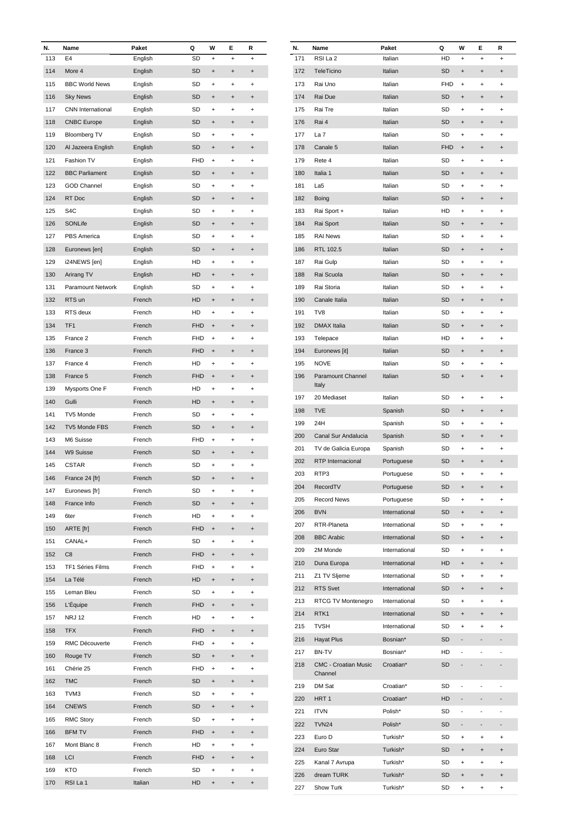| N.  | Name                     | Paket   | Q          | W                                | E         | R                                |
|-----|--------------------------|---------|------------|----------------------------------|-----------|----------------------------------|
| 113 | E <sub>4</sub>           | English | SD         | $\ddot{}$                        | $\ddot{}$ | $\ddot{}$                        |
| 114 | More 4                   | English | <b>SD</b>  | $\ddot{}$                        | $\ddot{}$ | $\ddot{}$                        |
| 115 | <b>BBC World News</b>    | English | SD         | $\ddot{}$                        | +         | +                                |
| 116 | <b>Sky News</b>          | English | SD         | $\ddot{}$                        | $\ddot{}$ | $\ddot{}$                        |
| 117 | <b>CNN</b> International | English | SD         | $\ddot{}$                        | $\ddot{}$ | $\ddot{}$                        |
| 118 | <b>CNBC</b> Europe       | English | SD         | $\ddot{}$                        | $\ddot{}$ | $\ddot{}$                        |
| 119 | <b>Bloomberg TV</b>      | English | SD         | +                                | +         | +                                |
| 120 | Al Jazeera English       | English | SD         | $\ddot{}$                        | $\ddot{}$ | $\ddot{}$                        |
| 121 | Fashion TV               | English | FHD        | $\ddot{}$                        | +         | +                                |
| 122 | <b>BBC Parliament</b>    | English | SD         | $\ddot{}$                        | $\ddot{}$ | $\ddot{}$                        |
| 123 | <b>GOD Channel</b>       | English | SD         | $\ddot{}$                        | +         | $\ddot{}$                        |
| 124 | RT Doc                   | English | SD         | $\ddot{}$                        | $\ddot{}$ | $\ddot{}$                        |
|     |                          |         |            |                                  |           |                                  |
| 125 | S <sub>4</sub> C         | English | SD         | $\ddot{}$                        | +         | $\ddot{}$                        |
| 126 | SONLife                  | English | SD         | $\ddot{}$                        | $\ddot{}$ | $\ddot{}$                        |
| 127 | PBS America              | English | SD         | $\ddot{}$                        | +         | +                                |
| 128 | Euronews [en]            | English | SD         | $\ddot{}$                        | $\ddot{}$ | $\ddot{}$                        |
| 129 | i24NEWS [en]             | English | HD         | $\ddot{}$                        | +         | $\pmb{+}$                        |
| 130 | Arirang TV               | English | HD         | $\ddot{}$                        | $\ddot{}$ | $\ddot{}$                        |
| 131 | Paramount Network        | English | SD         | $\ddot{}$                        | +         | +                                |
| 132 | RTS un                   | French  | HD         | $\ddot{}$                        | $\ddot{}$ | $\ddot{}$                        |
| 133 | RTS deux                 | French  | HD         | $\ddot{}$                        | +         | +                                |
| 134 | TF <sub>1</sub>          | French  | <b>FHD</b> | $\ddot{}$                        | $\ddot{}$ | $\ddot{}$                        |
| 135 | France 2                 | French  | FHD        | $\ddot{}$                        | +         | $\ddot{}$                        |
| 136 | France 3                 | French  | <b>FHD</b> | $\ddot{}$                        | $\ddot{}$ | $\ddot{}$                        |
| 137 | France 4                 | French  | HD         | $\ddot{}$                        | +         | $\ddot{}$                        |
| 138 | France 5                 | French  | <b>FHD</b> | $\ddot{}$                        | $\ddot{}$ | $\ddot{}$                        |
| 139 | Mysports One F           | French  | HD         | $\ddot{}$                        | +         | +                                |
|     |                          |         |            |                                  |           |                                  |
| 140 | Gulli                    | French  | HD         | $\ddot{}$                        | $\ddot{}$ | $\ddot{}$                        |
| 141 | TV5 Monde                | French  | SD         | $\ddot{}$                        | +         | $\pmb{+}$                        |
| 142 | TV5 Monde FBS            | French  | SD         | $\ddot{}$                        | $\ddot{}$ | $\ddot{}$                        |
| 143 | M6 Suisse                | French  | <b>FHD</b> | +                                | +         | +                                |
| 144 | W9 Suisse                | French  | SD         | $\ddot{}$                        | $\ddot{}$ | $\ddot{}$                        |
| 145 | <b>CSTAR</b>             | French  | SD         | $\ddot{}$                        | $\ddot{}$ | +                                |
| 146 | France 24 [fr]           | French  | <b>SD</b>  | $\ddot{}$                        | $\ddot{}$ | $\ddot{}$                        |
| 147 | Euronews [fr]            | French  | SD         | $\begin{array}{c} + \end{array}$ | $\ddot{}$ | $\ddot{}$                        |
| 148 | France Info              | French  | SD         | $\ddot{}$                        | $\ddot{}$ | $\ddot{}$                        |
| 149 | 6ter                     | French  | HD         | $\begin{array}{c} + \end{array}$ | $\ddot{}$ | $\ddot{}$                        |
| 150 | ARTE [fr]                | French  | <b>FHD</b> | $\pmb{+}$                        | $\ddot{}$ | $\begin{array}{c} + \end{array}$ |
| 151 | CANAL+                   | French  | SD         | $\begin{array}{c} + \end{array}$ | $\ddot{}$ | $\ddot{}$                        |
| 152 | C8                       | French  | <b>FHD</b> | $\pmb{+}$                        | $\ddot{}$ | $\ddot{}$                        |
| 153 | TF1 Séries Films         | French  | FHD        | $\begin{array}{c} + \end{array}$ | $\ddot{}$ | $\ddot{}$                        |
| 154 | La Télé                  | French  | HD         | $\ddot{}$                        | $\ddot{}$ | $\ddot{}$                        |
| 155 | Leman Bleu               | French  | SD         | $\ddot{}$                        | $\ddot{}$ | $\ddot{}$                        |
|     |                          |         |            |                                  |           |                                  |
| 156 | L'Équipe                 | French  | <b>FHD</b> | $\pmb{+}$                        | $\ddot{}$ | $\begin{array}{c} + \end{array}$ |
| 157 | <b>NRJ 12</b>            | French  | HD         | $\ddot{}$                        | $\ddot{}$ | $\ddot{}$                        |
| 158 | <b>TFX</b>               | French  | <b>FHD</b> | $\ddot{}$                        | $\ddot{}$ | $\begin{array}{c} + \end{array}$ |
| 159 | RMC Découverte           | French  | FHD        | $\begin{array}{c} + \end{array}$ | $\ddot{}$ | $\begin{array}{c} + \end{array}$ |
| 160 | Rouge TV                 | French  | SD         | $\ddot{}$                        | $\ddot{}$ | $\ddot{}$                        |
| 161 | Chérie 25                | French  | <b>FHD</b> | $\begin{array}{c} + \end{array}$ | $\ddot{}$ | $\ddot{}$                        |
| 162 | <b>TMC</b>               | French  | SD         | $\pmb{+}$                        | $\ddot{}$ | $\begin{array}{c} + \end{array}$ |
| 163 | TVM3                     | French  | SD         | $\begin{array}{c} + \end{array}$ | $\ddot{}$ | $\ddot{}$                        |
| 164 | <b>CNEWS</b>             | French  | SD         | $\ddot{}$                        | $\ddot{}$ | $\begin{array}{c} + \end{array}$ |
| 165 | <b>RMC Story</b>         | French  | SD         | $\begin{array}{c} + \end{array}$ | $\ddot{}$ | $\ddot{}$                        |
| 166 | <b>BFM TV</b>            | French  | FHD        | $\ddot{}$                        | $\ddot{}$ | $\ddot{}$                        |
| 167 | Mont Blanc 8             | French  | HD         | $\ddot{}$                        | +         | $\pmb{+}$                        |
| 168 | LCI                      | French  | <b>FHD</b> | $\ddot{}$                        | $\ddot{}$ | $\ddot{}$                        |
| 169 | KTO                      | French  | SD         | $\ddot{}$                        | $\ddot{}$ | $\ddot{}$                        |
|     | RSI La 1                 |         |            |                                  |           |                                  |
| 170 |                          | Italian | HD         | $\ddot{}$                        | $\ddot{}$ | $\ddot{}$                        |

| N.  | Name                        | Paket         | Q         | W                                | Е             | R              |
|-----|-----------------------------|---------------|-----------|----------------------------------|---------------|----------------|
| 171 | RSI La 2                    | Italian       | HD        | $\ddot{}$                        | $\ddot{}$     | $\ddot{}$      |
| 172 | TeleTicino                  | Italian       | SD        | $\ddot{}$                        | $\ddot{}$     | $\ddot{}$      |
| 173 | Rai Uno                     | Italian       | FHD       | +                                | $\ddot{}$     | +              |
| 174 | Rai Due                     | Italian       | <b>SD</b> | $\ddot{}$                        | $\ddot{}$     | $\ddot{}$      |
| 175 | Rai Tre                     | Italian       | SD        | $\ddot{}$                        | $\ddot{}$     | $\ddot{}$      |
| 176 | Rai 4                       | Italian       | SD        | $\ddot{}$                        | $\ddot{}$     | $\pmb{+}$      |
| 177 | La 7                        | Italian       | SD        | $\ddot{}$                        | +             | $\ddot{}$      |
| 178 | Canale 5                    | Italian       | FHD       | $\ddot{}$                        | $\ddot{}$     | $\ddot{}$      |
| 179 | Rete 4                      | Italian       | SD        | +                                | $\ddot{}$     | +              |
| 180 | Italia 1                    | Italian       | <b>SD</b> | $\ddot{}$                        | $\ddot{}$     | $\ddot{}$      |
| 181 | La5                         | Italian       | SD        | $\ddot{}$                        | $\ddot{}$     | $\ddot{}$      |
| 182 |                             | Italian       | SD        |                                  |               |                |
|     | Boing                       |               |           | $\ddot{}$                        | $\ddot{}$     | $\ddot{}$      |
| 183 | Rai Sport +                 | Italian       | HD        | $\ddot{}$                        | +             | +              |
| 184 | Rai Sport                   | Italian       | SD        | $\ddot{}$                        | $\ddot{}$     | $\ddot{}$      |
| 185 | <b>RAI News</b>             | Italian       | SD        | +                                | $\ddot{}$     | +              |
| 186 | RTL 102.5                   | Italian       | SD        | $\ddot{}$                        | $\ddot{}$     | $\ddot{}$      |
| 187 | Rai Gulp                    | Italian       | SD        | $\ddot{}$                        | $\ddot{}$     | $\ddot{}$      |
| 188 | Rai Scuola                  | Italian       | SD        | $\ddot{}$                        | $\ddot{}$     | $\pmb{+}$      |
| 189 | Rai Storia                  | Italian       | SD        | $\ddot{}$                        | +             | $\ddot{}$      |
| 190 | Canale Italia               | Italian       | SD        | $\ddot{}$                        | $\ddot{}$     | $\ddot{}$      |
| 191 | TV8                         | Italian       | SD        | +                                | $\ddot{}$     | +              |
| 192 | <b>DMAX Italia</b>          | Italian       | SD        | $\ddot{}$                        | $\ddot{}$     | $\ddot{}$      |
| 193 | Telepace                    | Italian       | HD        | $\ddot{}$                        | $\ddot{}$     | $\ddot{}$      |
| 194 | Euronews [it]               | Italian       | SD        | $\ddot{}$                        | $\ddot{}$     | $\pmb{+}$      |
| 195 | <b>NOVE</b>                 | Italian       | SD        | $\ddot{}$                        | +             | +              |
| 196 | <b>Paramount Channel</b>    | Italian       | SD        | $\ddot{}$                        | $\ddot{}$     | $\ddot{}$      |
|     | Italy                       |               |           |                                  |               |                |
| 197 | 20 Mediaset                 | Italian       | SD        | $\ddot{}$                        | +             | $\ddot{}$      |
| 198 | TVE                         | Spanish       | SD        | $\ddot{}$                        | $\ddot{}$     | $\pmb{+}$      |
| 199 | 24H                         | Spanish       | SD        | +                                | $\ddot{}$     | +              |
| 200 | Canal Sur Andalucia         | Spanish       | <b>SD</b> | $\ddot{}$                        | $\ddot{}$     | $\pmb{+}$      |
| 201 | TV de Galicia Europa        | Spanish       | SD        | +                                | $\ddot{}$     | +              |
| 202 | RTP Internacional           |               |           |                                  |               |                |
|     |                             | Portuguese    | SD        | $\ddot{}$                        | $\ddot{}$     | $\ddot{}$      |
| 203 | RTP3                        | Portuguese    | SD        | $\ddot{}$                        | $\ddot{}$     | +              |
| 204 | RecordTV                    | Portuguese    | SD        | $\ddot{}$                        | $\ddot{}$     | $\ddot{}$      |
| 205 | <b>Record News</b>          | Portuguese    | SD        | $\begin{array}{c} + \end{array}$ | $\ddot{}$     | $\ddot{}$      |
| 206 | <b>BVN</b>                  | International | SD        | $\ddot{}$                        | $\ddot{}$     | $\ddot{}$      |
| 207 | RTR-Planeta                 | International | SD        | $\begin{array}{c} + \end{array}$ | $\ddot{}$     | $\ddot{}$      |
| 208 | <b>BBC</b> Arabic           | International | SD        | $\ddot{}$                        | $\ddot{}$     | $\ddot{}$      |
| 209 | 2M Monde                    | International | SD        | $\begin{array}{c} + \end{array}$ | $\ddot{}$     | $\ddot{}$      |
| 210 | Duna Europa                 | International | HD        | $\ddot{}$                        | $\ddot{}$     | $\overline{+}$ |
| 211 | Z1 TV Sljeme                | International | SD        | $\ddot{}$                        | $\ddot{}$     | $\ddot{}$      |
| 212 | RTS Svet                    | International | SD        | $\begin{array}{c} + \end{array}$ | $\ddot{}$     | $\ddot{}$      |
| 213 | RTCG TV Montenegro          | International | SD        | +                                | +             | +              |
| 214 | RTK1                        | International | SD        | $\ddot{}$                        | $\ddot{}$     | $\ddot{}$      |
| 215 | <b>TVSH</b>                 | International | SD        | $\ddot{}$                        | +             | $\ddot{}$      |
| 216 | <b>Hayat Plus</b>           | Bosnian*      | SD        |                                  |               |                |
| 217 | BN-TV                       | Bosnian*      | HD        | ÷,                               | ä,            |                |
| 218 | <b>CMC - Croatian Music</b> | Croatian*     | SD        |                                  |               |                |
|     | Channel                     |               |           |                                  |               |                |
| 219 | DM Sat                      | Croatian*     | SD        | ÷                                | $\frac{1}{2}$ | ٠              |
| 220 | HRT <sub>1</sub>            | Croatian*     | HD        | -                                |               |                |
| 221 | <b>ITVN</b>                 | Polish*       | SD        | ÷                                |               |                |
| 222 | <b>TVN24</b>                | Polish*       | SD        | $\overline{\phantom{0}}$         |               |                |
| 223 | Euro D                      | Turkish*      | SD        | $\begin{array}{c} + \end{array}$ | $\ddot{}$     | $\ddot{}$      |
| 224 | Euro Star                   | Turkish*      | SD        | $\ddot{}$                        | $\ddot{}$     | $\overline{+}$ |
| 225 | Kanal 7 Avrupa              | Turkish*      | SD        | +                                | +             | +              |
| 226 | dream TURK                  | Turkish*      | SD        | $\, +$                           | $\ddot{}$     | $\overline{+}$ |
| 227 | Show Turk                   | Turkish*      | SD        | $\ddot{}$                        | +             | +              |
|     |                             |               |           |                                  |               |                |